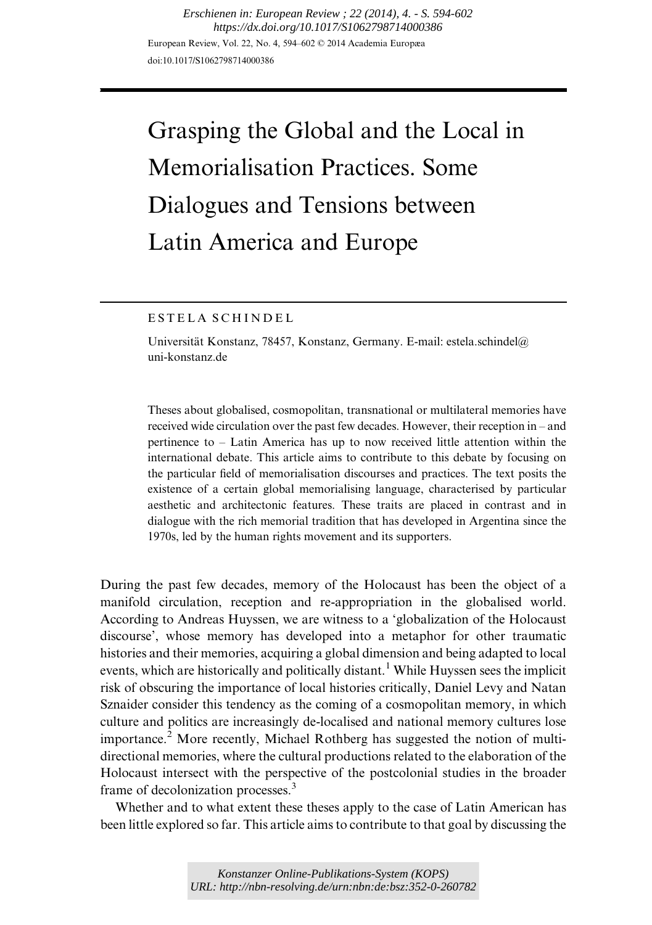European Review, Vol. 22, No. 4, 594–602 © 2014 Academia Europæa doi:10.1017/S1062798714000386 *Erschienen in: European Review ; 22 (2014), 4. - S. 594-602 https://dx.doi.org/10.1017/S1062798714000386*

# Grasping the Global and the Local in Memorialisation Practices. Some Dialogues and Tensions between Latin America and Europe

## ESTELA SCHINDEL

Universität Konstanz, 78457, Konstanz, Germany. E-mail: [estela.schindel@](mailto:Estela.Schindel@uni-konstanz.de) [uni-konstanz.de](mailto:Estela.Schindel@uni-konstanz.de)

Theses about globalised, cosmopolitan, transnational or multilateral memories have received wide circulation over the past few decades. However, their reception in – and pertinence to – Latin America has up to now received little attention within the international debate. This article aims to contribute to this debate by focusing on the particular field of memorialisation discourses and practices. The text posits the existence of a certain global memorialising language, characterised by particular aesthetic and architectonic features. These traits are placed in contrast and in dialogue with the rich memorial tradition that has developed in Argentina since the 1970s, led by the human rights movement and its supporters.

During the past few decades, memory of the Holocaust has been the object of a manifold circulation, reception and re-appropriation in the globalised world. According to Andreas Huyssen, we are witness to a 'globalization of the Holocaust discourse', whose memory has developed into a metaphor for other traumatic histories and their memories, acquiring a global dimension and being adapted to local events, which are historically and politically distant.<sup>[1](#page-7-0)</sup> While Huyssen sees the implicit risk of obscuring the importance of local histories critically, Daniel Levy and Natan Sznaider consider this tendency as the coming of a cosmopolitan memory, in which culture and politics are increasingly de-localised and national memory cultures lose importance.<sup>[2](#page-7-0)</sup> More recently, Michael Rothberg has suggested the notion of multidirectional memories, where the cultural productions related to the elaboration of the Holocaust intersect with the perspective of the postcolonial studies in the broader frame of decolonization processes.<sup>[3](#page-7-0)</sup>

Whether and to what extent these theses apply to the case of Latin American has been little explored so far. This article aims to contribute to that goal by discussing the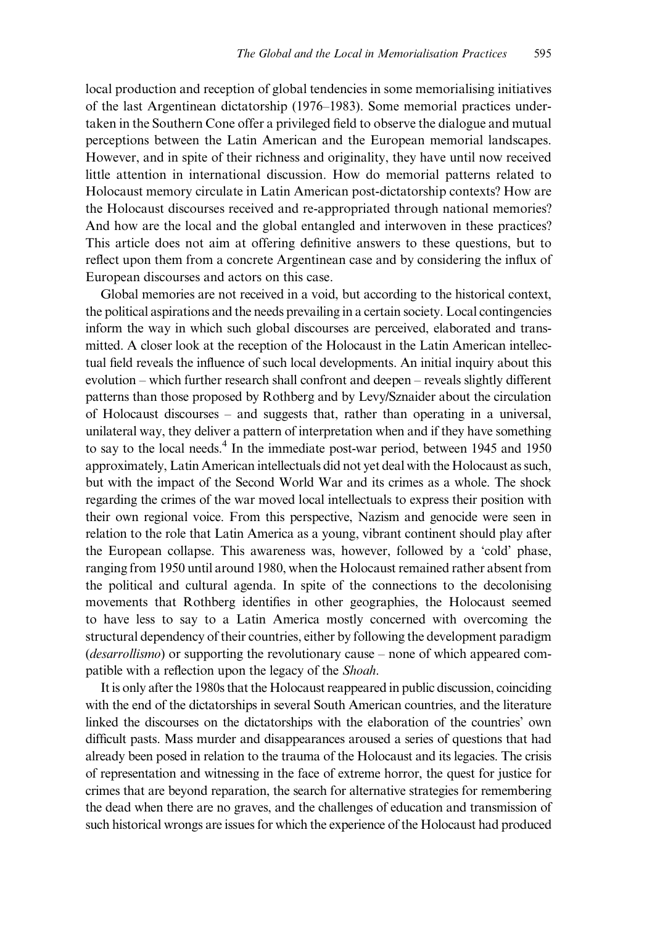local production and reception of global tendencies in some memorialising initiatives of the last Argentinean dictatorship (1976–1983). Some memorial practices undertaken in the Southern Cone offer a privileged field to observe the dialogue and mutual perceptions between the Latin American and the European memorial landscapes. However, and in spite of their richness and originality, they have until now received little attention in international discussion. How do memorial patterns related to Holocaust memory circulate in Latin American post-dictatorship contexts? How are the Holocaust discourses received and re-appropriated through national memories? And how are the local and the global entangled and interwoven in these practices? This article does not aim at offering definitive answers to these questions, but to reflect upon them from a concrete Argentinean case and by considering the influx of European discourses and actors on this case.

Global memories are not received in a void, but according to the historical context, the political aspirations and the needs prevailing in a certain society. Local contingencies inform the way in which such global discourses are perceived, elaborated and transmitted. A closer look at the reception of the Holocaust in the Latin American intellectual field reveals the influence of such local developments. An initial inquiry about this evolution – which further research shall confront and deepen – reveals slightly different patterns than those proposed by Rothberg and by Levy/Sznaider about the circulation of Holocaust discourses – and suggests that, rather than operating in a universal, unilateral way, they deliver a pattern of interpretation when and if they have something to say to the local needs.<sup>4</sup> In the immediate post-war period, between 1945 and 1950 approximately, Latin American intellectuals did not yet deal with the Holocaust as such, but with the impact of the Second World War and its crimes as a whole. The shock regarding the crimes of the war moved local intellectuals to express their position with their own regional voice. From this perspective, Nazism and genocide were seen in relation to the role that Latin America as a young, vibrant continent should play after the European collapse. This awareness was, however, followed by a 'cold' phase, ranging from 1950 until around 1980, when the Holocaust remained rather absent from the political and cultural agenda. In spite of the connections to the decolonising movements that Rothberg identifies in other geographies, the Holocaust seemed to have less to say to a Latin America mostly concerned with overcoming the structural dependency of their countries, either by following the development paradigm (desarrollismo) or supporting the revolutionary cause – none of which appeared compatible with a reflection upon the legacy of the Shoah.

It is only after the 1980s that the Holocaust reappeared in public discussion, coinciding with the end of the dictatorships in several South American countries, and the literature linked the discourses on the dictatorships with the elaboration of the countries' own difficult pasts. Mass murder and disappearances aroused a series of questions that had already been posed in relation to the trauma of the Holocaust and its legacies. The crisis of representation and witnessing in the face of extreme horror, the quest for justice for crimes that are beyond reparation, the search for alternative strategies for remembering the dead when there are no graves, and the challenges of education and transmission of such historical wrongs are issues for which the experience of the Holocaust had produced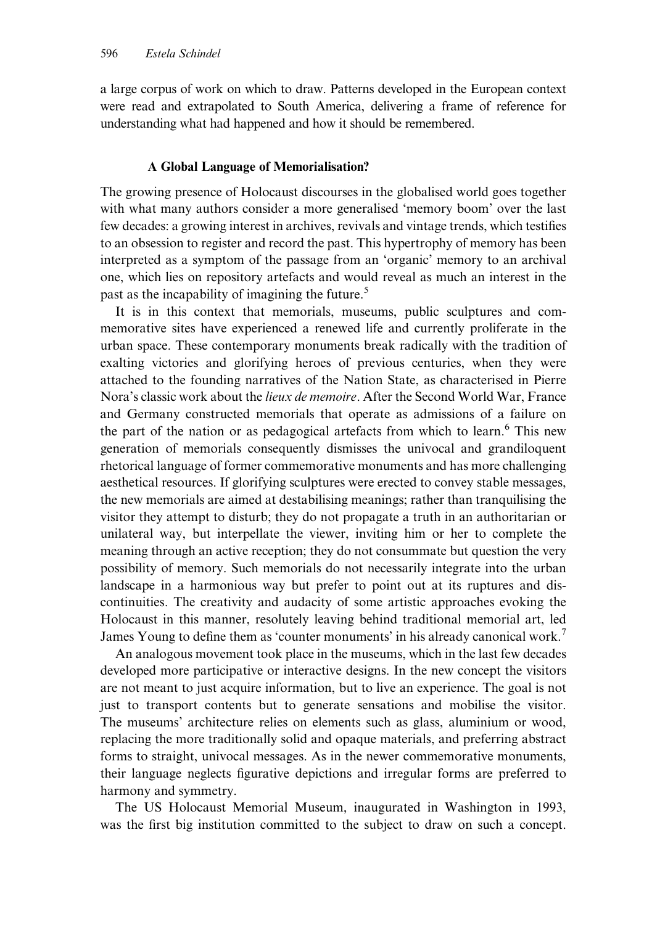a large corpus of work on which to draw. Patterns developed in the European context were read and extrapolated to South America, delivering a frame of reference for understanding what had happened and how it should be remembered.

## A Global Language of Memorialisation?

The growing presence of Holocaust discourses in the globalised world goes together with what many authors consider a more generalised 'memory boom' over the last few decades: a growing interest in archives, revivals and vintage trends, which testifies to an obsession to register and record the past. This hypertrophy of memory has been interpreted as a symptom of the passage from an 'organic' memory to an archival one, which lies on repository artefacts and would reveal as much an interest in the past as the incapability of imagining the future.<sup>5</sup>

It is in this context that memorials, museums, public sculptures and commemorative sites have experienced a renewed life and currently proliferate in the urban space. These contemporary monuments break radically with the tradition of exalting victories and glorifying heroes of previous centuries, when they were attached to the founding narratives of the Nation State, as characterised in Pierre Nora's classic work about the *lieux de memoire*. After the Second World War, France and Germany constructed memorials that operate as admissions of a failure on the part of the nation or as pedagogical artefacts from which to learn.<sup>[6](#page-7-0)</sup> This new generation of memorials consequently dismisses the univocal and grandiloquent rhetorical language of former commemorative monuments and has more challenging aesthetical resources. If glorifying sculptures were erected to convey stable messages, the new memorials are aimed at destabilising meanings; rather than tranquilising the visitor they attempt to disturb; they do not propagate a truth in an authoritarian or unilateral way, but interpellate the viewer, inviting him or her to complete the meaning through an active reception; they do not consummate but question the very possibility of memory. Such memorials do not necessarily integrate into the urban landscape in a harmonious way but prefer to point out at its ruptures and discontinuities. The creativity and audacity of some artistic approaches evoking the Holocaust in this manner, resolutely leaving behind traditional memorial art, led James Young to define them as 'counter monuments' in his already canonical work.[7](#page-8-0)

An analogous movement took place in the museums, which in the last few decades developed more participative or interactive designs. In the new concept the visitors are not meant to just acquire information, but to live an experience. The goal is not just to transport contents but to generate sensations and mobilise the visitor. The museums' architecture relies on elements such as glass, aluminium or wood, replacing the more traditionally solid and opaque materials, and preferring abstract forms to straight, univocal messages. As in the newer commemorative monuments, their language neglects figurative depictions and irregular forms are preferred to harmony and symmetry.

The US Holocaust Memorial Museum, inaugurated in Washington in 1993, was the first big institution committed to the subject to draw on such a concept.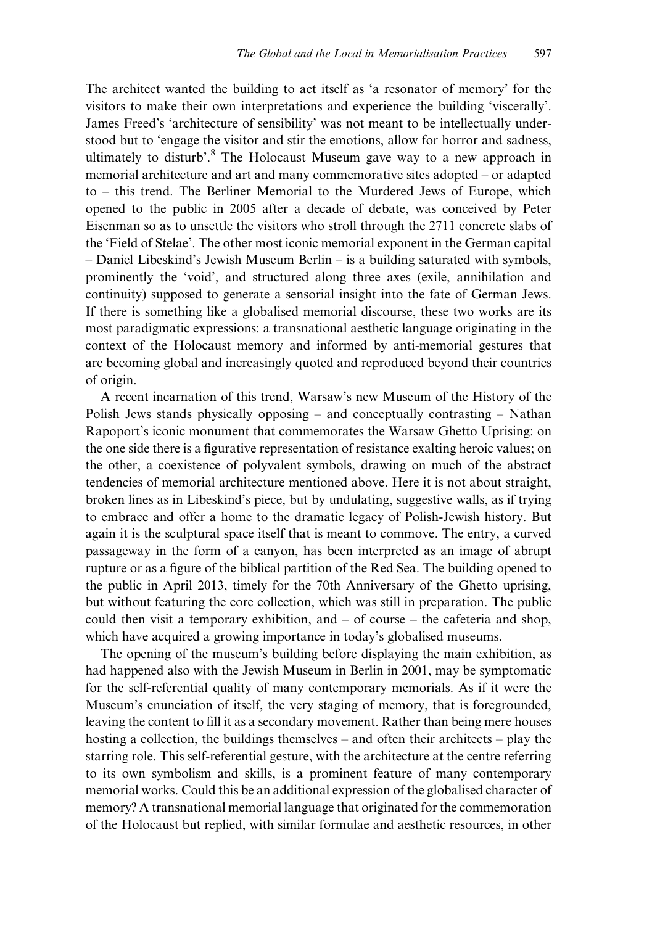The architect wanted the building to act itself as 'a resonator of memory' for the visitors to make their own interpretations and experience the building 'viscerally'. James Freed's 'architecture of sensibility' was not meant to be intellectually understood but to 'engage the visitor and stir the emotions, allow for horror and sadness, ultimately to disturb'.<sup>[8](#page-8-0)</sup> The Holocaust Museum gave way to a new approach in memorial architecture and art and many commemorative sites adopted – or adapted to – this trend. The Berliner Memorial to the Murdered Jews of Europe, which opened to the public in 2005 after a decade of debate, was conceived by Peter Eisenman so as to unsettle the visitors who stroll through the 2711 concrete slabs of the 'Field of Stelae'. The other most iconic memorial exponent in the German capital – Daniel Libeskind's Jewish Museum Berlin – is a building saturated with symbols, prominently the 'void', and structured along three axes (exile, annihilation and continuity) supposed to generate a sensorial insight into the fate of German Jews. If there is something like a globalised memorial discourse, these two works are its most paradigmatic expressions: a transnational aesthetic language originating in the context of the Holocaust memory and informed by anti-memorial gestures that are becoming global and increasingly quoted and reproduced beyond their countries of origin.

A recent incarnation of this trend, Warsaw's new Museum of the History of the Polish Jews stands physically opposing – and conceptually contrasting – Nathan Rapoport's iconic monument that commemorates the Warsaw Ghetto Uprising: on the one side there is a figurative representation of resistance exalting heroic values; on the other, a coexistence of polyvalent symbols, drawing on much of the abstract tendencies of memorial architecture mentioned above. Here it is not about straight, broken lines as in Libeskind's piece, but by undulating, suggestive walls, as if trying to embrace and offer a home to the dramatic legacy of Polish-Jewish history. But again it is the sculptural space itself that is meant to commove. The entry, a curved passageway in the form of a canyon, has been interpreted as an image of abrupt rupture or as a figure of the biblical partition of the Red Sea. The building opened to the public in April 2013, timely for the 70th Anniversary of the Ghetto uprising, but without featuring the core collection, which was still in preparation. The public could then visit a temporary exhibition, and – of course – the cafeteria and shop, which have acquired a growing importance in today's globalised museums.

The opening of the museum's building before displaying the main exhibition, as had happened also with the Jewish Museum in Berlin in 2001, may be symptomatic for the self-referential quality of many contemporary memorials. As if it were the Museum's enunciation of itself, the very staging of memory, that is foregrounded, leaving the content to fill it as a secondary movement. Rather than being mere houses hosting a collection, the buildings themselves – and often their architects – play the starring role. This self-referential gesture, with the architecture at the centre referring to its own symbolism and skills, is a prominent feature of many contemporary memorial works. Could this be an additional expression of the globalised character of memory? A transnational memorial language that originated for the commemoration of the Holocaust but replied, with similar formulae and aesthetic resources, in other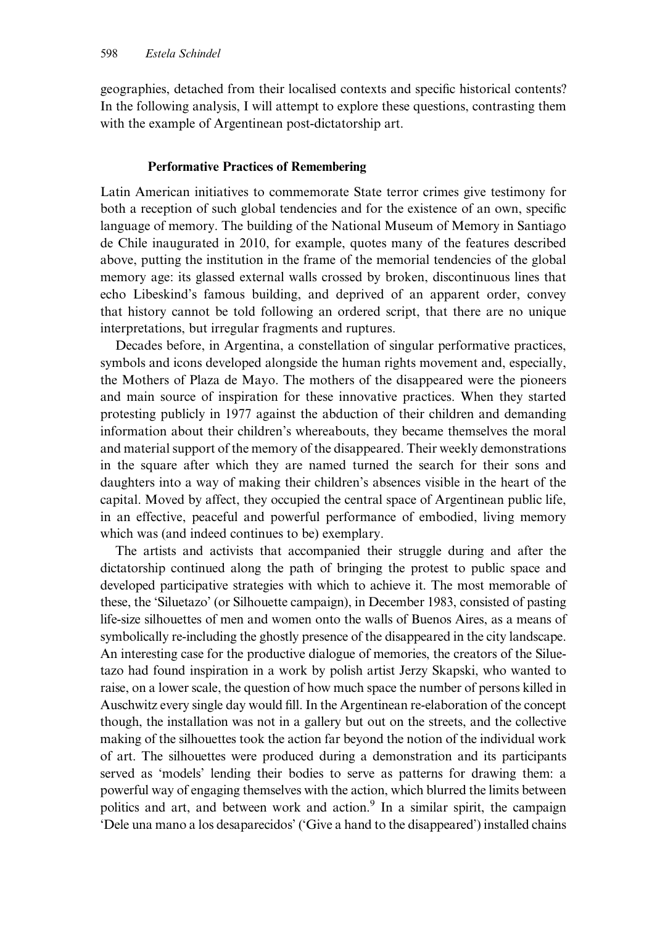geographies, detached from their localised contexts and specific historical contents? In the following analysis, I will attempt to explore these questions, contrasting them with the example of Argentinean post-dictatorship art.

## Performative Practices of Remembering

Latin American initiatives to commemorate State terror crimes give testimony for both a reception of such global tendencies and for the existence of an own, specific language of memory. The building of the National Museum of Memory in Santiago de Chile inaugurated in 2010, for example, quotes many of the features described above, putting the institution in the frame of the memorial tendencies of the global memory age: its glassed external walls crossed by broken, discontinuous lines that echo Libeskind's famous building, and deprived of an apparent order, convey that history cannot be told following an ordered script, that there are no unique interpretations, but irregular fragments and ruptures.

Decades before, in Argentina, a constellation of singular performative practices, symbols and icons developed alongside the human rights movement and, especially, the Mothers of Plaza de Mayo. The mothers of the disappeared were the pioneers and main source of inspiration for these innovative practices. When they started protesting publicly in 1977 against the abduction of their children and demanding information about their children's whereabouts, they became themselves the moral and material support of the memory of the disappeared. Their weekly demonstrations in the square after which they are named turned the search for their sons and daughters into a way of making their children's absences visible in the heart of the capital. Moved by affect, they occupied the central space of Argentinean public life, in an effective, peaceful and powerful performance of embodied, living memory which was (and indeed continues to be) exemplary.

The artists and activists that accompanied their struggle during and after the dictatorship continued along the path of bringing the protest to public space and developed participative strategies with which to achieve it. The most memorable of these, the 'Siluetazo' (or Silhouette campaign), in December 1983, consisted of pasting life-size silhouettes of men and women onto the walls of Buenos Aires, as a means of symbolically re-including the ghostly presence of the disappeared in the city landscape. An interesting case for the productive dialogue of memories, the creators of the Siluetazo had found inspiration in a work by polish artist Jerzy Skapski, who wanted to raise, on a lower scale, the question of how much space the number of persons killed in Auschwitz every single day would fill. In the Argentinean re-elaboration of the concept though, the installation was not in a gallery but out on the streets, and the collective making of the silhouettes took the action far beyond the notion of the individual work of art. The silhouettes were produced during a demonstration and its participants served as 'models' lending their bodies to serve as patterns for drawing them: a powerful way of engaging themselves with the action, which blurred the limits between politics and art, and between work and action.<sup>9</sup> In a similar spirit, the campaign 'Dele una mano a los desaparecidos' ('Give a hand to the disappeared') installed chains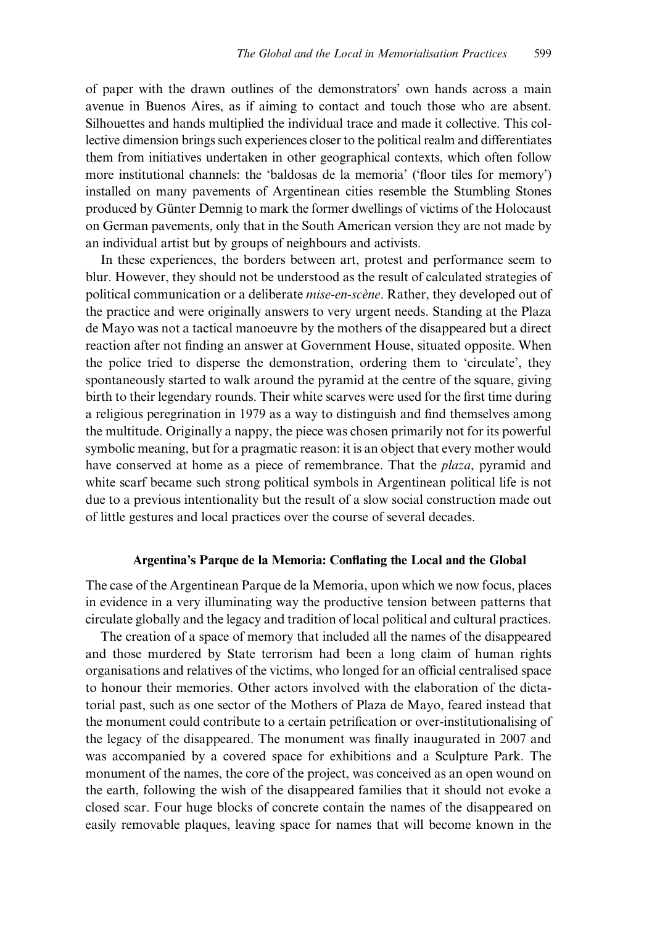of paper with the drawn outlines of the demonstrators' own hands across a main avenue in Buenos Aires, as if aiming to contact and touch those who are absent. Silhouettes and hands multiplied the individual trace and made it collective. This collective dimension brings such experiences closer to the political realm and differentiates them from initiatives undertaken in other geographical contexts, which often follow more institutional channels: the 'baldosas de la memoria' ('floor tiles for memory') installed on many pavements of Argentinean cities resemble the Stumbling Stones produced by Günter Demnig to mark the former dwellings of victims of the Holocaust on German pavements, only that in the South American version they are not made by an individual artist but by groups of neighbours and activists.

In these experiences, the borders between art, protest and performance seem to blur. However, they should not be understood as the result of calculated strategies of political communication or a deliberate mise-en-scène. Rather, they developed out of the practice and were originally answers to very urgent needs. Standing at the Plaza de Mayo was not a tactical manoeuvre by the mothers of the disappeared but a direct reaction after not finding an answer at Government House, situated opposite. When the police tried to disperse the demonstration, ordering them to 'circulate', they spontaneously started to walk around the pyramid at the centre of the square, giving birth to their legendary rounds. Their white scarves were used for the first time during a religious peregrination in 1979 as a way to distinguish and find themselves among the multitude. Originally a nappy, the piece was chosen primarily not for its powerful symbolic meaning, but for a pragmatic reason: it is an object that every mother would have conserved at home as a piece of remembrance. That the *plaza*, pyramid and white scarf became such strong political symbols in Argentinean political life is not due to a previous intentionality but the result of a slow social construction made out of little gestures and local practices over the course of several decades.

#### Argentina's Parque de la Memoria: Conflating the Local and the Global

The case of the Argentinean Parque de la Memoria, upon which we now focus, places in evidence in a very illuminating way the productive tension between patterns that circulate globally and the legacy and tradition of local political and cultural practices.

The creation of a space of memory that included all the names of the disappeared and those murdered by State terrorism had been a long claim of human rights organisations and relatives of the victims, who longed for an official centralised space to honour their memories. Other actors involved with the elaboration of the dictatorial past, such as one sector of the Mothers of Plaza de Mayo, feared instead that the monument could contribute to a certain petrification or over-institutionalising of the legacy of the disappeared. The monument was finally inaugurated in 2007 and was accompanied by a covered space for exhibitions and a Sculpture Park. The monument of the names, the core of the project, was conceived as an open wound on the earth, following the wish of the disappeared families that it should not evoke a closed scar. Four huge blocks of concrete contain the names of the disappeared on easily removable plaques, leaving space for names that will become known in the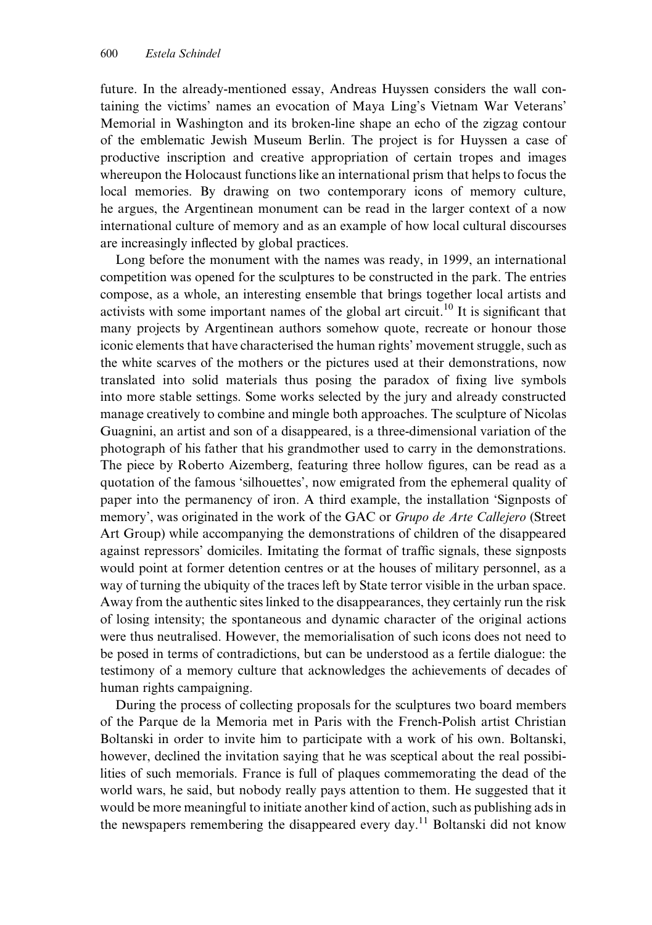future. In the already-mentioned essay, Andreas Huyssen considers the wall containing the victims' names an evocation of Maya Ling's Vietnam War Veterans' Memorial in Washington and its broken-line shape an echo of the zigzag contour of the emblematic Jewish Museum Berlin. The project is for Huyssen a case of productive inscription and creative appropriation of certain tropes and images whereupon the Holocaust functions like an international prism that helps to focus the local memories. By drawing on two contemporary icons of memory culture, he argues, the Argentinean monument can be read in the larger context of a now international culture of memory and as an example of how local cultural discourses are increasingly inflected by global practices.

Long before the monument with the names was ready, in 1999, an international competition was opened for the sculptures to be constructed in the park. The entries compose, as a whole, an interesting ensemble that brings together local artists and activists with some important names of the global art circuit.[10](#page-8-0) It is significant that many projects by Argentinean authors somehow quote, recreate or honour those iconic elements that have characterised the human rights' movement struggle, such as the white scarves of the mothers or the pictures used at their demonstrations, now translated into solid materials thus posing the paradox of fixing live symbols into more stable settings. Some works selected by the jury and already constructed manage creatively to combine and mingle both approaches. The sculpture of Nicolas Guagnini, an artist and son of a disappeared, is a three-dimensional variation of the photograph of his father that his grandmother used to carry in the demonstrations. The piece by Roberto Aizemberg, featuring three hollow figures, can be read as a quotation of the famous 'silhouettes', now emigrated from the ephemeral quality of paper into the permanency of iron. A third example, the installation 'Signposts of memory', was originated in the work of the GAC or *Grupo de Arte Callejero* (Street Art Group) while accompanying the demonstrations of children of the disappeared against repressors' domiciles. Imitating the format of traffic signals, these signposts would point at former detention centres or at the houses of military personnel, as a way of turning the ubiquity of the traces left by State terror visible in the urban space. Away from the authentic sites linked to the disappearances, they certainly run the risk of losing intensity; the spontaneous and dynamic character of the original actions were thus neutralised. However, the memorialisation of such icons does not need to be posed in terms of contradictions, but can be understood as a fertile dialogue: the testimony of a memory culture that acknowledges the achievements of decades of human rights campaigning.

During the process of collecting proposals for the sculptures two board members of the Parque de la Memoria met in Paris with the French-Polish artist Christian Boltanski in order to invite him to participate with a work of his own. Boltanski, however, declined the invitation saying that he was sceptical about the real possibilities of such memorials. France is full of plaques commemorating the dead of the world wars, he said, but nobody really pays attention to them. He suggested that it would be more meaningful to initiate another kind of action, such as publishing ads in the newspapers remembering the disappeared every day.<sup>[11](#page-8-0)</sup> Boltanski did not know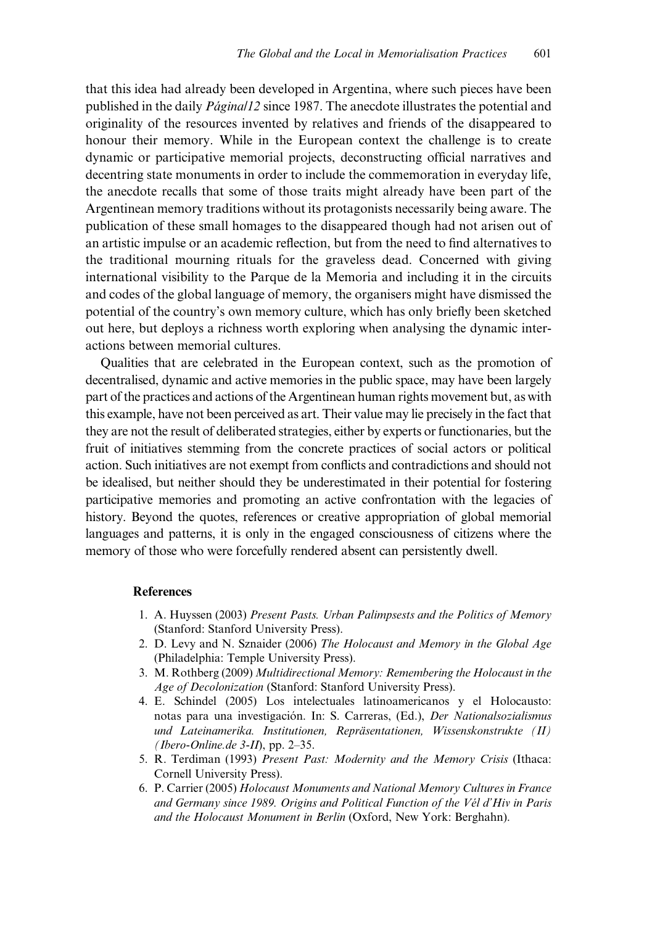<span id="page-7-0"></span>that this idea had already been developed in Argentina, where such pieces have been published in the daily Página/12 since 1987. The anecdote illustrates the potential and originality of the resources invented by relatives and friends of the disappeared to honour their memory. While in the European context the challenge is to create dynamic or participative memorial projects, deconstructing official narratives and decentring state monuments in order to include the commemoration in everyday life, the anecdote recalls that some of those traits might already have been part of the Argentinean memory traditions without its protagonists necessarily being aware. The publication of these small homages to the disappeared though had not arisen out of an artistic impulse or an academic reflection, but from the need to find alternatives to the traditional mourning rituals for the graveless dead. Concerned with giving international visibility to the Parque de la Memoria and including it in the circuits and codes of the global language of memory, the organisers might have dismissed the potential of the country's own memory culture, which has only briefly been sketched out here, but deploys a richness worth exploring when analysing the dynamic interactions between memorial cultures.

Qualities that are celebrated in the European context, such as the promotion of decentralised, dynamic and active memories in the public space, may have been largely part of the practices and actions of the Argentinean human rights movement but, as with this example, have not been perceived as art. Their value may lie precisely in the fact that they are not the result of deliberated strategies, either by experts or functionaries, but the fruit of initiatives stemming from the concrete practices of social actors or political action. Such initiatives are not exempt from conflicts and contradictions and should not be idealised, but neither should they be underestimated in their potential for fostering participative memories and promoting an active confrontation with the legacies of history. Beyond the quotes, references or creative appropriation of global memorial languages and patterns, it is only in the engaged consciousness of citizens where the memory of those who were forcefully rendered absent can persistently dwell.

#### References

- 1. A. Huyssen (2003) Present Pasts. Urban Palimpsests and the Politics of Memory (Stanford: Stanford University Press).
- 2. D. Levy and N. Sznaider (2006) The Holocaust and Memory in the Global Age (Philadelphia: Temple University Press).
- 3. M. Rothberg (2009) Multidirectional Memory: Remembering the Holocaust in the Age of Decolonization (Stanford: Stanford University Press).
- 4. E. Schindel (2005) Los intelectuales latinoamericanos y el Holocausto: notas para una investigación. In: S. Carreras, (Ed.), Der Nationalsozialismus und Lateinamerika. Institutionen, Repräsentationen, Wissenskonstrukte (II) (*Ibero-Online.de 3-II*), pp. 2–35.
- 5. R. Terdiman (1993) Present Past: Modernity and the Memory Crisis (Ithaca: Cornell University Press).
- 6. P. Carrier (2005) Holocaust Monuments and National Memory Cultures in France and Germany since 1989. Origins and Political Function of the Vél d'Hiv in Paris and the Holocaust Monument in Berlin (Oxford, New York: Berghahn).